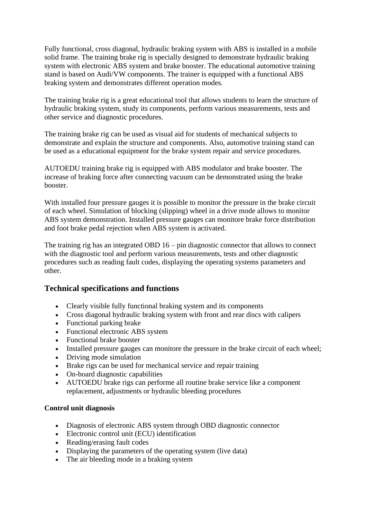Fully functional, cross diagonal, hydraulic braking system with ABS is installed in a mobile solid frame. The training brake rig is specially designed to demonstrate hydraulic braking system with electronic ABS system and brake booster. The educational automotive training stand is based on Audi/VW components. The trainer is equipped with a functional ABS braking system and demonstrates different operation modes.

The training brake rig is a great educational tool that allows students to learn the structure of hydraulic braking system, study its components, perform various measurements, tests and other service and diagnostic procedures.

The training brake rig can be used as visual aid for students of mechanical subjects to demonstrate and explain the structure and components. Also, automotive training stand can be used as a educational equipment for the brake system repair and service procedures.

AUTOEDU training brake rig is equipped with ABS modulator and brake booster. The increase of braking force after connecting vacuum can be demonstrated using the brake booster.

With installed four pressure gauges it is possible to monitor the pressure in the brake circuit of each wheel. Simulation of blocking (slipping) wheel in a drive mode allows to monitor ABS system demonstration. Installed pressure gauges can monitore brake force distribution and foot brake pedal rejection when ABS system is activated.

The training rig has an integrated OBD 16 – pin diagnostic connector that allows to connect with the diagnostic tool and perform various measurements, tests and other diagnostic procedures such as reading fault codes, displaying the operating systems parameters and other.

## **Technical specifications and functions**

- Clearly visible fully functional braking system and its components
- Cross diagonal hydraulic braking system with front and rear discs with calipers
- Functional parking brake
- Functional electronic ABS system
- Functional brake booster
- Installed pressure gauges can monitore the pressure in the brake circuit of each wheel;
- Driving mode simulation
- Brake rigs can be used for mechanical service and repair training
- On-board diagnostic capabilities
- AUTOEDU brake rigs can performe all routine brake service like a component replacement, adjustments or hydraulic bleeding procedures

## **Control unit diagnosis**

- Diagnosis of electronic ABS system through OBD diagnostic connector
- Electronic control unit (ECU) identification
- Reading/erasing fault codes
- Displaying the parameters of the operating system (live data)
- The air bleeding mode in a braking system